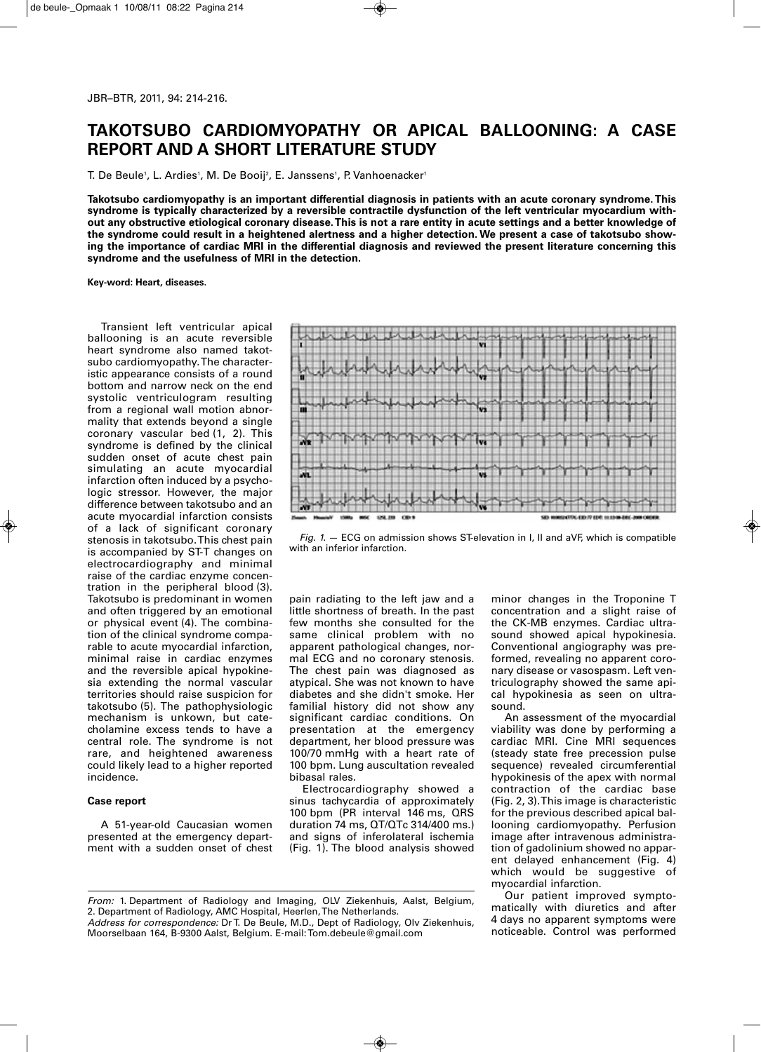# **TAKOTSUBO CARDIOMYOPATHY OR APICAL BALLOONING: A CASE REPORT AND A SHORT LITERATURE STUDY**

T. De Beule1, L. Ardies1, M. De Booij², E. Janssens1, P. Vanhoenacker1

**Takotsubo cardiomyopathy is an important differential diagnosis in patients with an acute coronary syndrome.This syndrome is typically characterized by a reversible contractile dysfunction of the left ventricular myocardium with**out any obstructive etiological coronary disease. This is not a rare entity in acute settings and a better knowledge of the syndrome could result in a heightened alertness and a higher detection. We present a case of takotsubo showing the importance of cardiac MRI in the differential diagnosis and reviewed the present literature concerning this **syndrome and the usefulness of MRI in the detection.**

**Key-word: Heart, diseases.**

Transient left ventricular apical ballooning is an acute reversible heart syndrome also named takotsubo cardiomyopathy.The characteristic appearance consists of a round bottom and narrow neck on the end systolic ventriculogram resulting from a regional wall motion abnormality that extends beyond a single coronary vascular bed (1, 2). This syndrome is defined by the clinical sudden onset of acute chest pain simulating an acute myocardial infarction often induced by a psychologic stressor. However, the major difference between takotsubo and an acute myocardial infarction consists of a lack of significant coronary stenosis in takotsubo.This chest pain is accompanied by ST-T changes on electrocardiography and minimal raise of the cardiac enzyme concentration in the peripheral blood (3). Takotsubo is predominant in women and often triggered by an emotional or physical event (4). The combination of the clinical syndrome comparable to acute myocardial infarction, minimal raise in cardiac enzymes and the reversible apical hypokinesia extending the normal vascular territories should raise suspicion for takotsubo (5). The pathophysiologic mechanism is unkown, but catecholamine excess tends to have a central role. The syndrome is not rare, and heightened awareness could likely lead to a higher reported incidence.

### **Case report**

A 51-year-old Caucasian women presented at the emergency department with a sudden onset of chest



*Fig. 1.* — ECG on admission shows ST-elevation in I, II and aVF, which is compatible with an inferior infarction.

pain radiating to the left jaw and a little shortness of breath. In the past few months she consulted for the same clinical problem with no apparent pathological changes, normal ECG and no coronary stenosis. The chest pain was diagnosed as atypical. She was not known to have diabetes and she didn't smoke. Her familial history did not show any significant cardiac conditions. On presentation at the emergency department, her blood pressure was 100/70 mmHg with a heart rate of 100 bpm. Lung auscultation revealed bibasal rales.

Electrocardiography showed a sinus tachycardia of approximately 100 bpm (PR interval 146 ms, QRS duration 74 ms, QT/QTc 314/400 ms.) and signs of inferolateral ischemia (Fig. 1). The blood analysis showed

minor changes in the Troponine T concentration and a slight raise of the CK-MB enzymes. Cardiac ultrasound showed apical hypokinesia. Conventional angiography was preformed, revealing no apparent coronary disease or vasospasm. Left ventriculography showed the same apical hypokinesia as seen on ultrasound.

An assessment of the myocardial viability was done by performing a cardiac MRI. Cine MRI sequences (steady state free precession pulse sequence) revealed circumferential hypokinesis of the apex with normal contraction of the cardiac base (Fig. 2, 3).This image is characteristic for the previous described apical ballooning cardiomyopathy. Perfusion image after intravenous administration of gadolinium showed no apparent delayed enhancement (Fig. 4) which would be suggestive of myocardial infarction.

Our patient improved symptomatically with diuretics and after 4 days no apparent symptoms were noticeable. Control was performed

*Address for correspondence:* Dr T. De Beule, M.D., Dept of Radiology, Olv Ziekenhuis, Moorselbaan 164, B-9300 Aalst, Belgium. E-mail:Tom.debeule@gmail.com

*From:* 1. Department of Radiology and Imaging, OLV Ziekenhuis, Aalst, Belgium, 2. Department of Radiology, AMC Hospital, Heerlen,The Netherlands.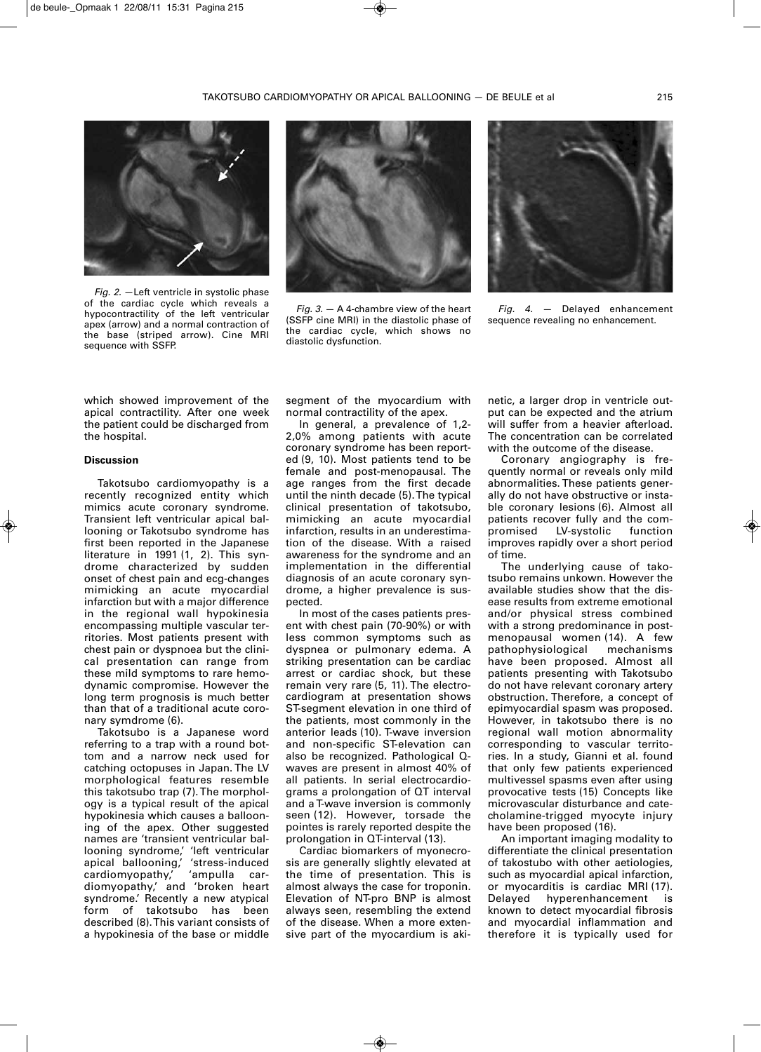

*Fig. 2.* —Left ventricle in systolic phase of the cardiac cycle which reveals a hypocontractility of the left ventricular apex (arrow) and a normal contraction of the base (striped arrow). Cine MRI sequence with SSFP.



*Fig. 3.* — A 4-chambre view of the heart (SSFP cine MRI) in the diastolic phase of the cardiac cycle, which shows no diastolic dysfunction.



*Fig. 4.* — Delayed enhancement sequence revealing no enhancement.

which showed improvement of the apical contractility. After one week the patient could be discharged from the hospital.

#### **Discussion**

Takotsubo cardiomyopathy is a recently recognized entity which mimics acute coronary syndrome. Transient left ventricular apical ballooning or Takotsubo syndrome has first been reported in the Japanese literature in 1991 (1, 2). This syndrome characterized by sudden onset of chest pain and ecg-changes mimicking an acute myocardial infarction but with a major difference in the regional wall hypokinesia encompassing multiple vascular territories. Most patients present with chest pain or dyspnoea but the clinical presentation can range from these mild symptoms to rare hemodynamic compromise. However the long term prognosis is much better than that of a traditional acute coronary symdrome (6).

Takotsubo is a Japanese word referring to a trap with a round bottom and a narrow neck used for catching octopuses in Japan. The LV morphological features resemble this takotsubo trap (7). The morphology is a typical result of the apical hypokinesia which causes a ballooning of the apex. Other suggested names are 'transient ventricular ballooning syndrome,' 'left ventricular apical ballooning,' 'stress-induced cardiomyopathy,' 'ampulla cardiomyopathy,' and 'broken heart syndrome.' Recently a new atypical form of takotsubo has been described (8). This variant consists of a hypokinesia of the base or middle

segment of the myocardium with normal contractility of the apex.

In general, a prevalence of 1,2- 2,0% among patients with acute coronary syndrome has been reported (9, 10). Most patients tend to be female and post-menopausal. The age ranges from the first decade until the ninth decade (5). The typical clinical presentation of takotsubo, mimicking an acute myocardial infarction, results in an underestimation of the disease. With a raised awareness for the syndrome and an implementation in the differential diagnosis of an acute coronary syndrome, a higher prevalence is suspected.

In most of the cases patients present with chest pain (70-90%) or with less common symptoms such as dyspnea or pulmonary edema. A striking presentation can be cardiac arrest or cardiac shock, but these remain very rare (5, 11). The electrocardiogram at presentation shows ST-segment elevation in one third of the patients, most commonly in the anterior leads (10). T-wave inversion and non-specific ST-elevation can also be recognized. Pathological Qwaves are present in almost 40% of all patients. In serial electrocardiograms a prolongation of QT interval and a T-wave inversion is commonly seen (12). However, torsade the pointes is rarely reported despite the prolongation in QT-interval (13).

Cardiac biomarkers of myonecrosis are generally slightly elevated at the time of presentation. This is almost always the case for troponin. Elevation of NT-pro BNP is almost always seen, resembling the extend of the disease. When a more extensive part of the myocardium is akinetic, a larger drop in ventricle output can be expected and the atrium will suffer from a heavier afterload. The concentration can be correlated with the outcome of the disease.

Coronary angiography is frequently normal or reveals only mild abnormalities. These patients generally do not have obstructive or instable coronary lesions (6). Almost all patients recover fully and the compromised LV-systolic function improves rapidly over a short period of time.

The underlying cause of takotsubo remains unkown. However the available studies show that the disease results from extreme emotional and/or physical stress combined with a strong predominance in postmenopausal women (14). A few pathophysiological mechanisms have been proposed. Almost all patients presenting with Takotsubo do not have relevant coronary artery obstruction. Therefore, a concept of epimyocardial spasm was proposed. However, in takotsubo there is no regional wall motion abnormality corresponding to vascular territories. In a study, Gianni et al. found that only few patients experienced multivessel spasms even after using provocative tests (15) Concepts like microvascular disturbance and catecholamine-trigged myocyte injury have been proposed (16).

An important imaging modality to differentiate the clinical presentation of takostubo with other aetiologies, such as myocardial apical infarction, or myocarditis is cardiac MRI (17). Delayed hyperenhancement is known to detect myocardial fibrosis and myocardial inflammation and therefore it is typically used for